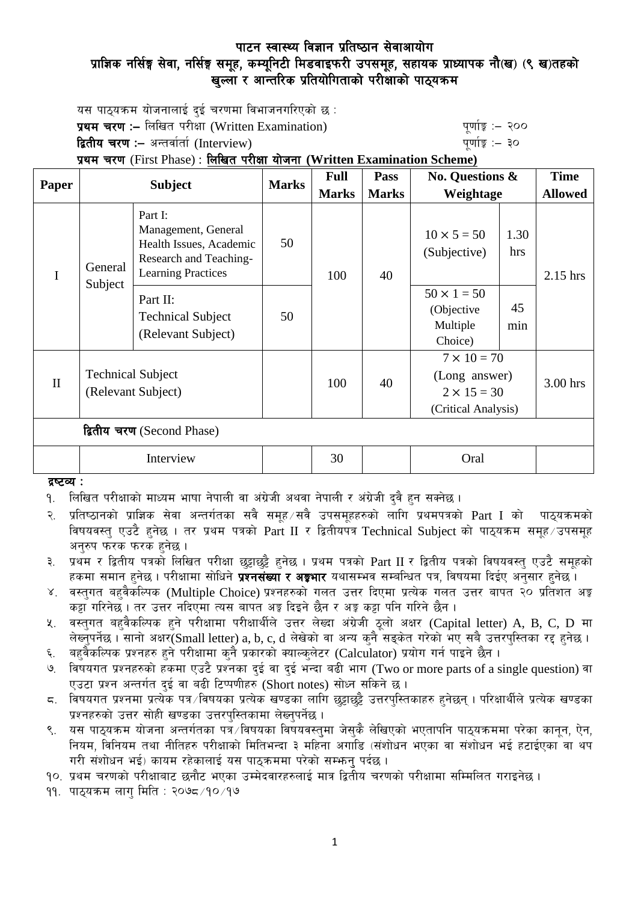# पाटन स्वास्थ्य विज्ञान प्रतिष्ठान सेवाआयोग प्राज्ञिक नर्सिङ्ग सेवा, नर्सिङ्ग समूह, कम्यूनिटी मिडवाइफरी उपसमूह, सहायक प्राध्यापक नौ(ख) (९ ख)तहको ंखल्ला र आन्तरिक प्रतियोगिताको परीक्षाको पाठयक्रम

यस पाठ्यक्रम योजनालाई दुई चरणमा विभाजनगरिएको छ $:$ प्रथम चरण :- लिखित परीक्षा (Written Examination)  $\frac{d}{dx}$  and  $\frac{d}{dx}$  and  $\frac{d}{dx}$  are  $\frac{d}{dx}$ द्वितीय चरण :– अन्तर्वार्ता (Interview) katalactic metal metal metal metal wind wind  $q$ णाङ्कि :– ३० प्रथम चरण (First Phase) : लिखित परीक्षा योजना (Written Examination Scheme)

| Paper                      | <b>Subject</b>                                 |                                                                                                                  | <b>Marks</b> | <b>Full</b>  | Pass         | No. Questions &                                                                  |             | <b>Time</b>    |
|----------------------------|------------------------------------------------|------------------------------------------------------------------------------------------------------------------|--------------|--------------|--------------|----------------------------------------------------------------------------------|-------------|----------------|
|                            |                                                |                                                                                                                  |              | <b>Marks</b> | <b>Marks</b> | Weightage                                                                        |             | <b>Allowed</b> |
| I                          | General<br>Subject                             | Part I:<br>Management, General<br>Health Issues, Academic<br>Research and Teaching-<br><b>Learning Practices</b> | 50           | 100          | 40           | $10 \times 5 = 50$<br>(Subjective)                                               | 1.30<br>hrs | $2.15$ hrs     |
|                            |                                                | Part II:<br><b>Technical Subject</b><br>(Relevant Subject)                                                       | 50           |              |              | $50 \times 1 = 50$<br>(Objective<br>Multiple<br>Choice)                          | 45<br>min   |                |
| $\mathbf{I}$               | <b>Technical Subject</b><br>(Relevant Subject) |                                                                                                                  |              | 100          | 40           | $7 \times 10 = 70$<br>(Long answer)<br>$2 \times 15 = 30$<br>(Critical Analysis) |             | 3.00 hrs       |
| द्वितीय चरण (Second Phase) |                                                |                                                                                                                  |              |              |              |                                                                                  |             |                |
|                            | Interview                                      |                                                                                                                  |              | 30           |              | Oral                                                                             |             |                |

द्रष्टव्य :

१. लिखित परीक्षाको माध्यम भाषा नेपाली वा अंग्रेजी अथवा नेपाली र अंग्रेजी दुवै हुन सक्नेछ ।

२. प्रतिष्ठानको प्राज्ञिक सेवा अन्तर्गतका सवै समूह ∕सवै उपसमूहहरुको लागि प्रथमपत्रको Part I को पाठ्यक्रमको विषयवस्त् एउटै हुनेछ । तर प्रथम पत्रको Part II र द्वितीयपत्र Technical Subject को पाठ्यक्रम समूह उपसमूह अनरुप फरक फरक हनेछ ।

३. प्रथम र द्वितीय पत्रको लिखित परीक्षा छट्टाछट्टै हुनेछ । प्रथम पत्रको Part II र द्वितीय पत्रको विषयवस्तु एउटै समूहको हकमा समान हुनेछ । परीक्षामा सोधिने **प्रश्नसंख्या र अङ्गभार** यथासम्भव सम्बन्धित पत्र, विषयमा दिईए अनुसार हुनेछ ।

- ४. वस्तगत बहवैकस्पिक (Multiple Choice) प्रश्नहरुको गलत उत्तर दिएमा प्रत्येक गलत उत्तर बापत २० प्रतिशत अङ्क कट्टा गरिनेछ । तर उत्तर नदिएमा त्यस बापत अङ्ग दिइने छैन र अङ्ग कट्टा पनि गरिने छैन ।
- ५. वस्तुगत बहवैकल्पिक हुने परीक्षामा परीक्षार्थीले उत्तर लेख्दा अंग्रेजी ठूलो अक्षर (Capital letter) A, B, C, D मा लेख्नुपर्नेछ । सानो अक्षर(Small letter) a, b, c, d लेखेको वा अन्य कुनै सङ्केत गरेको भए सबै उत्तरपुस्तिका रद्द हुनेछ ।
- ६. वहवैकल्पिक प्रश्नहरु हुने परीक्षामा कुनै प्रकारको क्याल्कलेटर (Calculator) प्रयोग गर्न पाइने छैन ।
- विषयगत प्रश्नहरुको हकमा एउटै प्रश्नका दुई वा दुई भन्दा बढी भाग (Two or more parts of a single question) वा एउटा प्रश्न अन्तर्गत दुई वा बढी टिप्पणीहरु (Short notes) सोध्न सकिने छ।
- $\,$ द. विषयगत प्रश्नमा प्रत्येक पत्र विषयका प्रत्येक खण्डका लागि छड़ाछुड़ै उत्तरपस्तिकाहरु हनेछन । परिक्षार्थीले प्रत्येक खण्डका प्रश्नहरुको उत्तर सोही खण्डका उत्तरपुस्तिकामा लेख्नुपर्नेछ ।
- ९. यस पाठ्यक्रम योजना अन्तर्गतका पत्रॅ∕विषयका विषयवस्तुमा जेसुकै लेखिएको भएतापनि पाठ्यक्रममा परेका कानून, ऐन, नियम, विनियम तथा नीतिहरु परीक्षाको मितिभन्दा ३ महिना अगाडि (संशोधन भएका वा संशोधन भई हटाईएका वा थप गरी संशोधन भई) कायम रहेकालाई यस पाठकममा परेको सम्भन् पर्दछ ।

<u>१</u>०. प्रथम चरणको परीक्षाबाट छनौट भएका उम्मेदवारहरुलाई मात्र द्वितीय चरणको परीक्षामा सम्मिलित गराइनेछ ।

 $99.$  पाठयक्रम लाग मिति : २०७८/१०/१७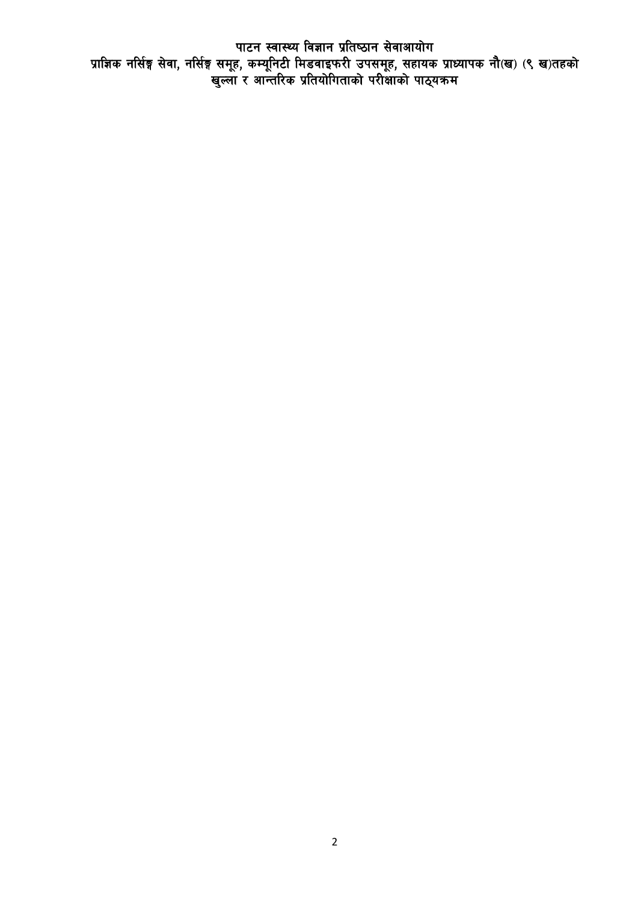पाटन स्वास्थ्य विज्ञान प्रतिष्ठान सेवाआयोग प्राज्ञिक नर्सिङ्ग सेवा, नर्सिङ्ग समूह, कम्यूनिटी मिडवाइफरी उपसमूह, सहायक प्राध्यापक नौ(ख) (९ ख)तहको खुल्ला र आन्तरिक प्रतियोगिताको परीक्षाको पाठ्**यक्रम**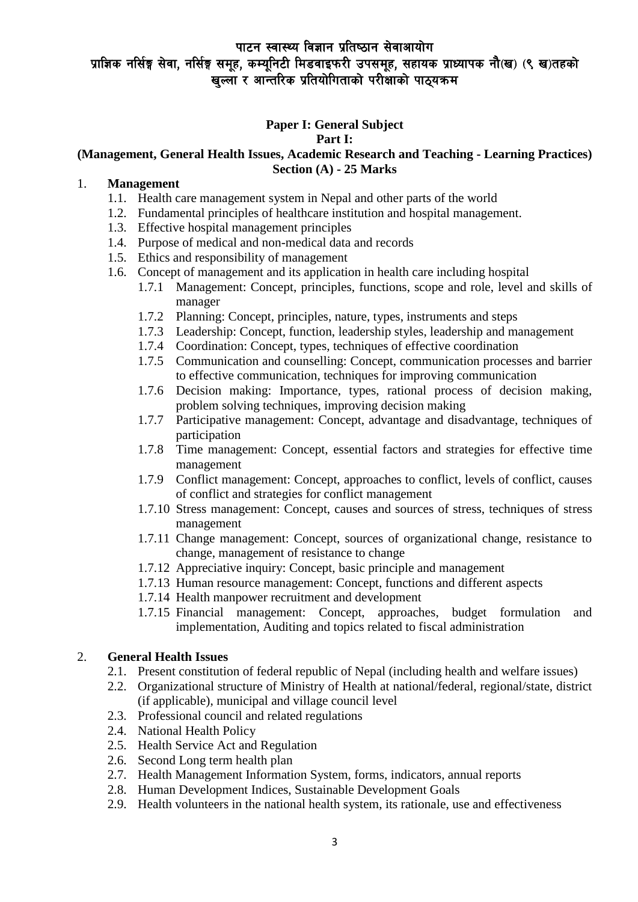# पाटन स्वास्थ्य विज्ञान प्रतिष्ठान सेवाआयोग प्राज्ञिक नर्सिङ्ग सेवा, नर्सिङ्ग समूह, कम्यूनिटी मिडवाइफरी उपसमूह, सहायक प्राध्यापक नौ(ख) (९ ख)तहको खल्ला र आन्तरिक प्रतियोगिताको परीक्षाको पाठयक्रम

# **Paper I: General Subject**

## **Part I:**

## **(Management, General Health Issues, Academic Research and Teaching - Learning Practices) Section (A) - 25 Marks**

## 1. **Management**

- 1.1. Health care management system in Nepal and other parts of the world
- 1.2. Fundamental principles of healthcare institution and hospital management.
- 1.3. Effective hospital management principles
- 1.4. Purpose of medical and non-medical data and records
- 1.5. Ethics and responsibility of management
- 1.6. Concept of management and its application in health care including hospital
	- 1.7.1 Management: Concept, principles, functions, scope and role, level and skills of manager
	- 1.7.2 Planning: Concept, principles, nature, types, instruments and steps
	- 1.7.3 Leadership: Concept, function, leadership styles, leadership and management
	- 1.7.4 Coordination: Concept, types, techniques of effective coordination
	- 1.7.5 Communication and counselling: Concept, communication processes and barrier to effective communication, techniques for improving communication
	- 1.7.6 Decision making: Importance, types, rational process of decision making, problem solving techniques, improving decision making
	- 1.7.7 Participative management: Concept, advantage and disadvantage, techniques of participation
	- 1.7.8 Time management: Concept, essential factors and strategies for effective time management
	- 1.7.9 Conflict management: Concept, approaches to conflict, levels of conflict, causes of conflict and strategies for conflict management
	- 1.7.10 Stress management: Concept, causes and sources of stress, techniques of stress management
	- 1.7.11 Change management: Concept, sources of organizational change, resistance to change, management of resistance to change
	- 1.7.12 Appreciative inquiry: Concept, basic principle and management
	- 1.7.13 Human resource management: Concept, functions and different aspects
	- 1.7.14 Health manpower recruitment and development
	- 1.7.15 Financial management: Concept, approaches, budget formulation and implementation, Auditing and topics related to fiscal administration

## 2. **General Health Issues**

- 2.1. Present constitution of federal republic of Nepal (including health and welfare issues)
- 2.2. Organizational structure of Ministry of Health at national/federal, regional/state, district (if applicable), municipal and village council level
- 2.3. Professional council and related regulations
- 2.4. National Health Policy
- 2.5. Health Service Act and Regulation
- 2.6. Second Long term health plan
- 2.7. Health Management Information System, forms, indicators, annual reports
- 2.8. Human Development Indices, Sustainable Development Goals
- 2.9. Health volunteers in the national health system, its rationale, use and effectiveness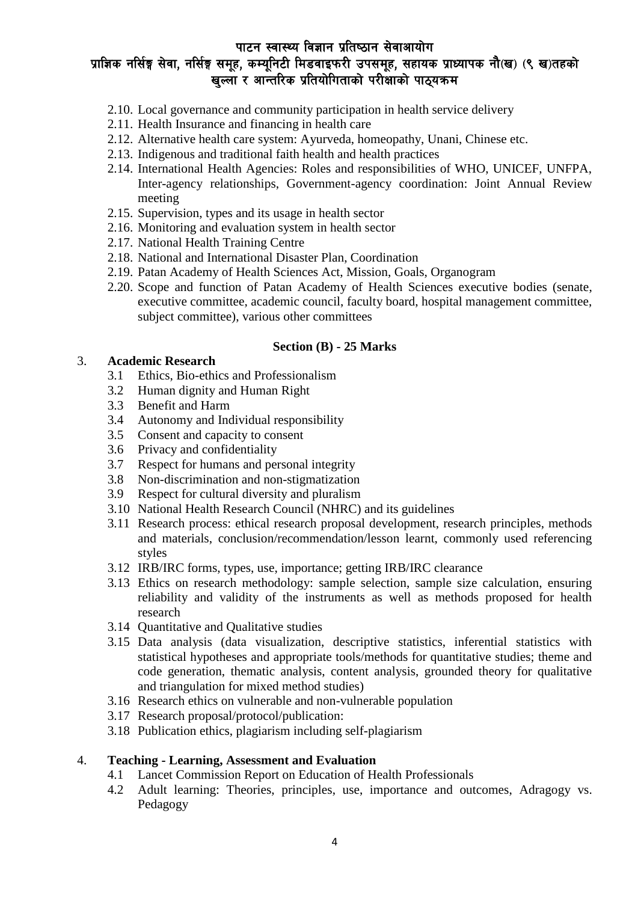# पाटन स्वास्थ्य विज्ञान प्रतिष्ठान सेवाआयोग प्राज्ञिक नर्सिङ्ग सेवा, नर्सिङ्ग समूह, कम्यूनिटी मिडवाइफरी उपसमूह, सहायक प्राध्यापक नौ(ख) (९ ख)तहको ंखल्ला र आन्तरिक प्रतियोगिताको परीक्षाको पाठयकम

- 2.10. Local governance and community participation in health service delivery
- 2.11. Health Insurance and financing in health care
- 2.12. Alternative health care system: Ayurveda, homeopathy, Unani, Chinese etc.
- 2.13. Indigenous and traditional faith health and health practices
- 2.14. International Health Agencies: Roles and responsibilities of WHO, UNICEF, UNFPA, Inter-agency relationships, Government-agency coordination: Joint Annual Review meeting
- 2.15. Supervision, types and its usage in health sector
- 2.16. Monitoring and evaluation system in health sector
- 2.17. National Health Training Centre
- 2.18. National and International Disaster Plan, Coordination
- 2.19. Patan Academy of Health Sciences Act, Mission, Goals, Organogram
- 2.20. Scope and function of Patan Academy of Health Sciences executive bodies (senate, executive committee, academic council, faculty board, hospital management committee, subject committee), various other committees

## **Section (B) - 25 Marks**

#### 3. **Academic Research**

- 3.1 Ethics, Bio-ethics and Professionalism
- 3.2 Human dignity and Human Right
- 3.3 Benefit and Harm
- 3.4 Autonomy and Individual responsibility
- 3.5 Consent and capacity to consent
- 3.6 Privacy and confidentiality
- 3.7 Respect for humans and personal integrity
- 3.8 Non-discrimination and non-stigmatization
- 3.9 Respect for cultural diversity and pluralism
- 3.10 National Health Research Council (NHRC) and its guidelines
- 3.11 Research process: ethical research proposal development, research principles, methods and materials, conclusion/recommendation/lesson learnt, commonly used referencing styles
- 3.12 IRB/IRC forms, types, use, importance; getting IRB/IRC clearance
- 3.13 Ethics on research methodology: sample selection, sample size calculation, ensuring reliability and validity of the instruments as well as methods proposed for health research
- 3.14 Quantitative and Qualitative studies
- 3.15 Data analysis (data visualization, descriptive statistics, inferential statistics with statistical hypotheses and appropriate tools/methods for quantitative studies; theme and code generation, thematic analysis, content analysis, grounded theory for qualitative and triangulation for mixed method studies)
- 3.16 Research ethics on vulnerable and non-vulnerable population
- 3.17 Research proposal/protocol/publication:
- 3.18 Publication ethics, plagiarism including self-plagiarism

#### 4. **Teaching - Learning, Assessment and Evaluation**

- 4.1 Lancet Commission Report on Education of Health Professionals
- 4.2 Adult learning: Theories, principles, use, importance and outcomes, Adragogy vs. Pedagogy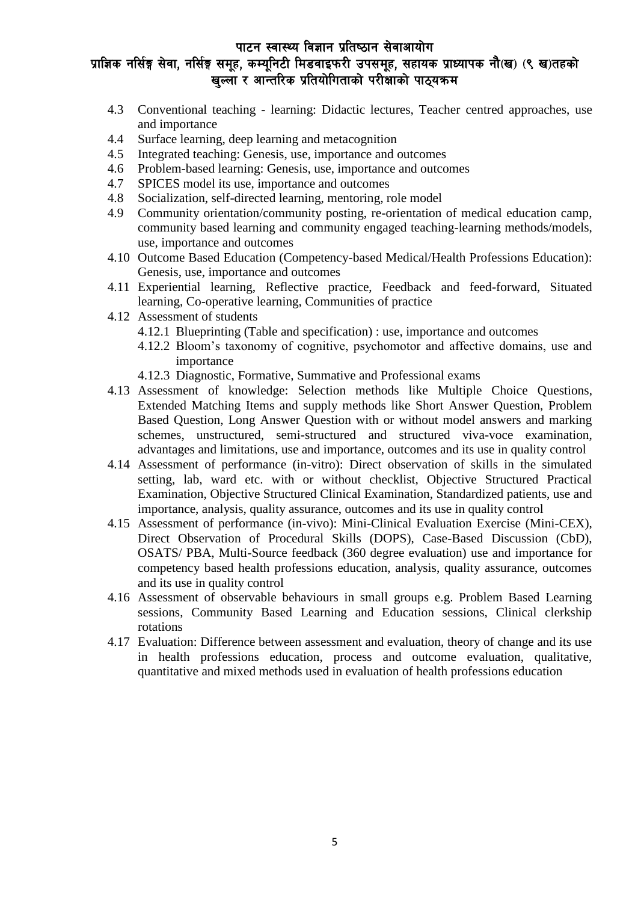# पाटन स्वास्थ्य विज्ञान प्रतिष्ठान सेवाआयोग प्राज्ञिक नर्सिङ्ग सेवा, नर्सिङ्ग समूह, कम्यूनिटी मिडवाइफरी उपसमूह, सहायक प्राध्यापक नौ(ख) (९ ख)तहको ंखल्ला र आन्तरिक प्रतियोगिताको परीक्षाको पाठयक्रम

- 4.3 Conventional teaching learning: Didactic lectures, Teacher centred approaches, use and importance
- 4.4 Surface learning, deep learning and metacognition
- 4.5 Integrated teaching: Genesis, use, importance and outcomes
- 4.6 Problem-based learning: Genesis, use, importance and outcomes
- 4.7 SPICES model its use, importance and outcomes
- 4.8 Socialization, self-directed learning, mentoring, role model
- 4.9 Community orientation/community posting, re-orientation of medical education camp, community based learning and community engaged teaching-learning methods/models, use, importance and outcomes
- 4.10 Outcome Based Education (Competency-based Medical/Health Professions Education): Genesis, use, importance and outcomes
- 4.11 Experiential learning, Reflective practice, Feedback and feed-forward, Situated learning, Co-operative learning, Communities of practice
- 4.12 Assessment of students
	- 4.12.1 Blueprinting (Table and specification) : use, importance and outcomes
	- 4.12.2 Bloom's taxonomy of cognitive, psychomotor and affective domains, use and importance
	- 4.12.3 Diagnostic, Formative, Summative and Professional exams
- 4.13 Assessment of knowledge: Selection methods like Multiple Choice Questions, Extended Matching Items and supply methods like Short Answer Question, Problem Based Question, Long Answer Question with or without model answers and marking schemes, unstructured, semi-structured and structured viva-voce examination, advantages and limitations, use and importance, outcomes and its use in quality control
- 4.14 Assessment of performance (in-vitro): Direct observation of skills in the simulated setting, lab, ward etc. with or without checklist, Objective Structured Practical Examination, Objective Structured Clinical Examination, Standardized patients, use and importance, analysis, quality assurance, outcomes and its use in quality control
- 4.15 Assessment of performance (in-vivo): Mini-Clinical Evaluation Exercise (Mini-CEX), Direct Observation of Procedural Skills (DOPS), Case-Based Discussion (CbD), OSATS/ PBA, Multi-Source feedback (360 degree evaluation) use and importance for competency based health professions education, analysis, quality assurance, outcomes and its use in quality control
- 4.16 Assessment of observable behaviours in small groups e.g. Problem Based Learning sessions, Community Based Learning and Education sessions, Clinical clerkship rotations
- 4.17 Evaluation: Difference between assessment and evaluation, theory of change and its use in health professions education, process and outcome evaluation, qualitative, quantitative and mixed methods used in evaluation of health professions education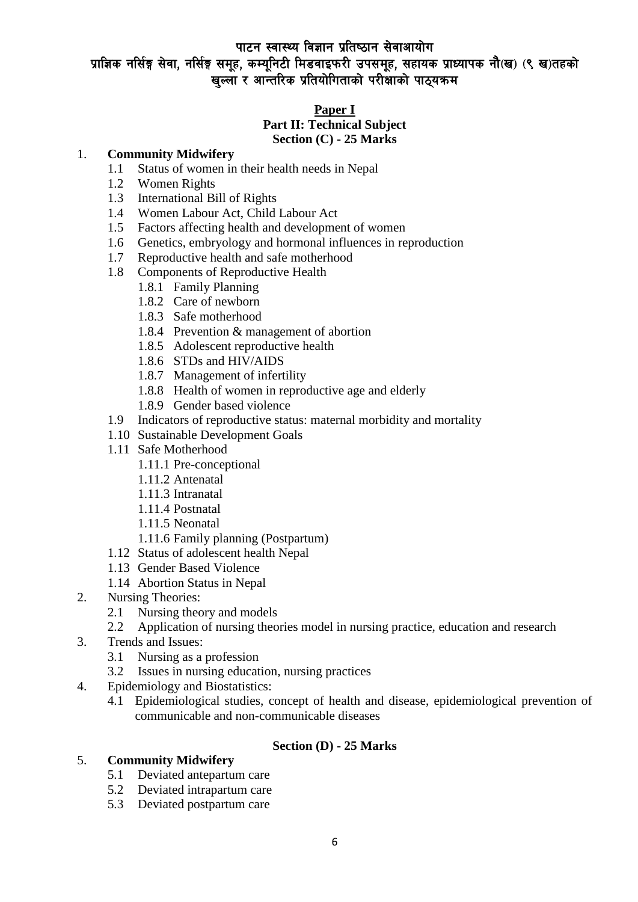# पाटन स्वास्थ्य विज्ञान प्रतिष्ठान सेवाआयोग प्राज्ञिक नर्सिङ्ग सेवा, नर्सिङ्ग समूह, कम्यूनिटी मिडवाइफरी उपसमूह, सहायक प्राध्यापक नौ(ख) (९ ख)तहको ंखुल्ला र आन्तरिक प्रतियोगिताको परीक्षाको पाठ्यक्रम

#### **Paper I**

#### **Part II: Technical Subject Section (C) - 25 Marks**

## 1. **Community Midwifery**

- 1.1 Status of women in their health needs in Nepal
- 1.2 Women Rights
- 1.3 International Bill of Rights
- 1.4 Women Labour Act, Child Labour Act
- 1.5 Factors affecting health and development of women
- 1.6 Genetics, embryology and hormonal influences in reproduction
- 1.7 Reproductive health and safe motherhood
- 1.8 Components of Reproductive Health
	- 1.8.1 Family Planning
	- 1.8.2 Care of newborn
	- 1.8.3 Safe motherhood
	- 1.8.4 Prevention & management of abortion
	- 1.8.5 Adolescent reproductive health
	- 1.8.6 STDs and HIV/AIDS
	- 1.8.7 Management of infertility
	- 1.8.8 Health of women in reproductive age and elderly
	- 1.8.9 Gender based violence
- 1.9 Indicators of reproductive status: maternal morbidity and mortality
- 1.10 Sustainable Development Goals
- 1.11 Safe Motherhood
	- 1.11.1 Pre-conceptional
	- 1.11.2 Antenatal
	- 1.11.3 Intranatal
	- 1.11.4 Postnatal
	- 1.11.5 Neonatal
	- 1.11.6 Family planning (Postpartum)
- 1.12 Status of adolescent health Nepal
- 1.13 Gender Based Violence
- 1.14 Abortion Status in Nepal
- 2. Nursing Theories:
	- 2.1 Nursing theory and models
	- 2.2 Application of nursing theories model in nursing practice, education and research
- 3. Trends and Issues:
	- 3.1 Nursing as a profession
	- 3.2 Issues in nursing education, nursing practices
- 4. Epidemiology and Biostatistics:
	- 4.1 Epidemiological studies, concept of health and disease, epidemiological prevention of communicable and non-communicable diseases

## **Section (D) - 25 Marks**

#### 5. **Community Midwifery**

- 5.1 Deviated antepartum care
- 5.2 Deviated intrapartum care
- 5.3 Deviated postpartum care